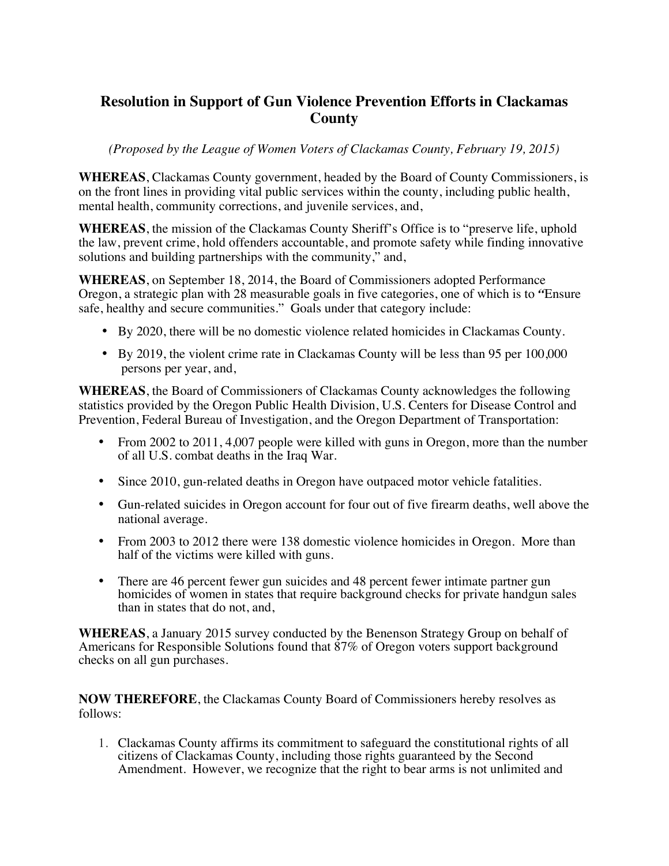## **Resolution in Support of Gun Violence Prevention Efforts in Clackamas County**

*(Proposed by the League of Women Voters of Clackamas County, February 19, 2015)*

**WHEREAS**, Clackamas County government, headed by the Board of County Commissioners, is on the front lines in providing vital public services within the county, including public health, mental health, community corrections, and juvenile services, and,

**WHEREAS**, the mission of the Clackamas County Sheriff's Office is to "preserve life, uphold the law, prevent crime, hold offenders accountable, and promote safety while finding innovative solutions and building partnerships with the community," and,

**WHEREAS**, on September 18, 2014, the Board of Commissioners adopted Performance Oregon, a strategic plan with 28 measurable goals in five categories, one of which is to *"*Ensure safe, healthy and secure communities." Goals under that category include:

- By 2020, there will be no domestic violence related homicides in Clackamas County.
- By 2019, the violent crime rate in Clackamas County will be less than 95 per 100,000 persons per year, and,

**WHEREAS**, the Board of Commissioners of Clackamas County acknowledges the following statistics provided by the Oregon Public Health Division, U.S. Centers for Disease Control and Prevention, Federal Bureau of Investigation, and the Oregon Department of Transportation:

- From 2002 to 2011, 4,007 people were killed with guns in Oregon, more than the number of all U.S. combat deaths in the Iraq War.
- Since 2010, gun-related deaths in Oregon have outpaced motor vehicle fatalities.
- Gun-related suicides in Oregon account for four out of five firearm deaths, well above the national average.
- From 2003 to 2012 there were 138 domestic violence homicides in Oregon. More than half of the victims were killed with guns.
- There are 46 percent fewer gun suicides and 48 percent fewer intimate partner gun homicides of women in states that require background checks for private handgun sales than in states that do not, and,

**WHEREAS**, a January 2015 survey conducted by the Benenson Strategy Group on behalf of Americans for Responsible Solutions found that 87% of Oregon voters support background checks on all gun purchases.

**NOW THEREFORE**, the Clackamas County Board of Commissioners hereby resolves as follows:

1. Clackamas County affirms its commitment to safeguard the constitutional rights of all citizens of Clackamas County, including those rights guaranteed by the Second Amendment. However, we recognize that the right to bear arms is not unlimited and